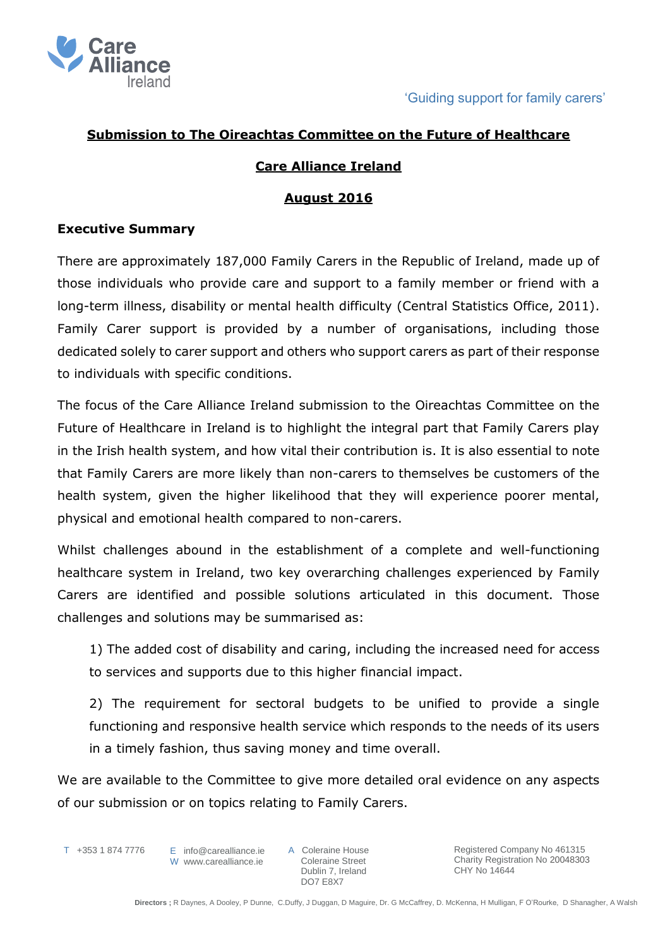

### **Submission to The Oireachtas Committee on the Future of Healthcare**

### **Care Alliance Ireland**

#### **August 2016**

### **Executive Summary**

There are approximately 187,000 Family Carers in the Republic of Ireland, made up of those individuals who provide care and support to a family member or friend with a long-term illness, disability or mental health difficulty (Central Statistics Office, 2011). Family Carer support is provided by a number of organisations, including those dedicated solely to carer support and others who support carers as part of their response to individuals with specific conditions.

The focus of the Care Alliance Ireland submission to the Oireachtas Committee on the Future of Healthcare in Ireland is to highlight the integral part that Family Carers play in the Irish health system, and how vital their contribution is. It is also essential to note that Family Carers are more likely than non-carers to themselves be customers of the health system, given the higher likelihood that they will experience poorer mental, physical and emotional health compared to non-carers.

Whilst challenges abound in the establishment of a complete and well-functioning healthcare system in Ireland, two key overarching challenges experienced by Family Carers are identified and possible solutions articulated in this document. Those challenges and solutions may be summarised as:

1) The added cost of disability and caring, including the increased need for access to services and supports due to this higher financial impact.

2) The requirement for sectoral budgets to be unified to provide a single functioning and responsive health service which responds to the needs of its users in a timely fashion, thus saving money and time overall.

We are available to the Committee to give more detailed oral evidence on any aspects of our submission or on topics relating to Family Carers.

T +353 1 874 7776

E info@carealliance.ie W www.carealliance.ie

A Coleraine House Coleraine Street Dublin 7, Ireland DO7 E8X7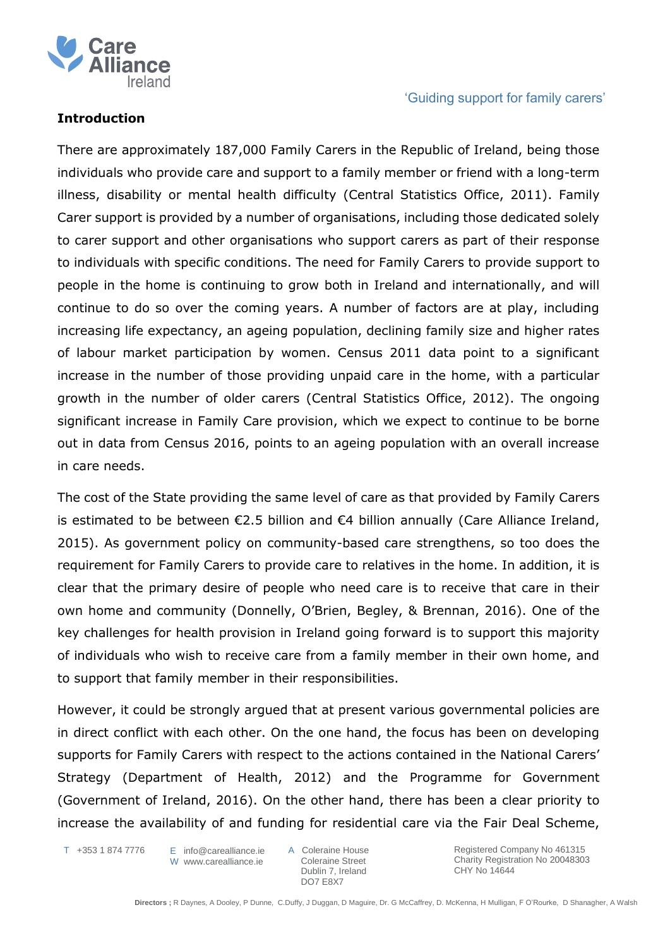

### **Introduction**

There are approximately 187,000 Family Carers in the Republic of Ireland, being those individuals who provide care and support to a family member or friend with a long-term illness, disability or mental health difficulty (Central Statistics Office, 2011). Family Carer support is provided by a number of organisations, including those dedicated solely to carer support and other organisations who support carers as part of their response to individuals with specific conditions. The need for Family Carers to provide support to people in the home is continuing to grow both in Ireland and internationally, and will continue to do so over the coming years. A number of factors are at play, including increasing life expectancy, an ageing population, declining family size and higher rates of labour market participation by women. Census 2011 data point to a significant increase in the number of those providing unpaid care in the home, with a particular growth in the number of older carers (Central Statistics Office, 2012). The ongoing significant increase in Family Care provision, which we expect to continue to be borne out in data from Census 2016, points to an ageing population with an overall increase in care needs.

The cost of the State providing the same level of care as that provided by Family Carers is estimated to be between  $€2.5$  billion and  $€4$  billion annually (Care Alliance Ireland, 2015). As government policy on community-based care strengthens, so too does the requirement for Family Carers to provide care to relatives in the home. In addition, it is clear that the primary desire of people who need care is to receive that care in their own home and community (Donnelly, O'Brien, Begley, & Brennan, 2016). One of the key challenges for health provision in Ireland going forward is to support this majority of individuals who wish to receive care from a family member in their own home, and to support that family member in their responsibilities.

However, it could be strongly argued that at present various governmental policies are in direct conflict with each other. On the one hand, the focus has been on developing supports for Family Carers with respect to the actions contained in the National Carers' Strategy (Department of Health, 2012) and the Programme for Government (Government of Ireland, 2016). On the other hand, there has been a clear priority to increase the availability of and funding for residential care via the Fair Deal Scheme,

T +353 1 874 7776

E info@carealliance.ie W www.carealliance.ie A Coleraine House Coleraine Street Dublin 7, Ireland DO7 E8X7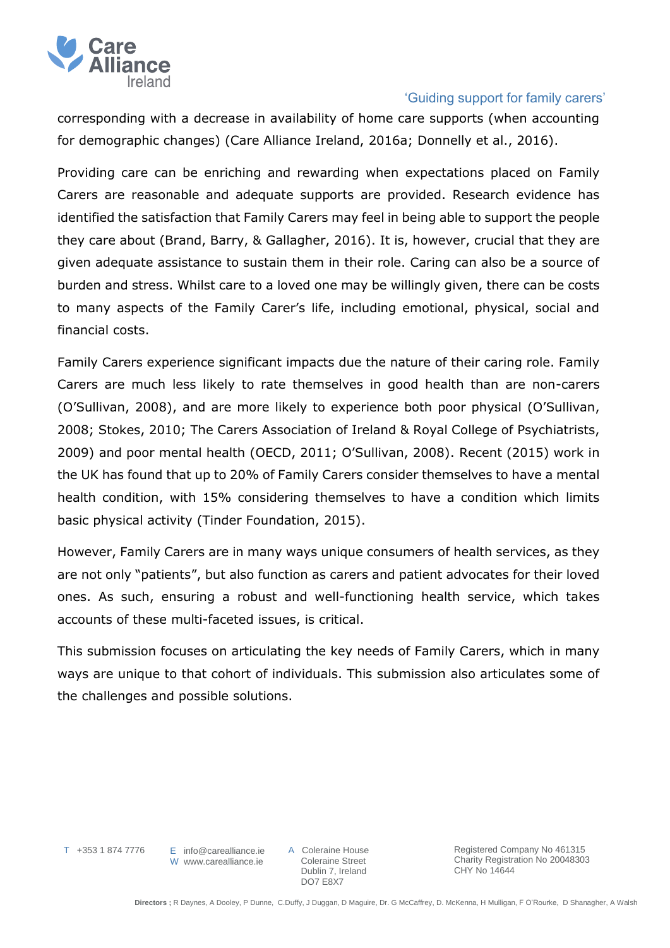

corresponding with a decrease in availability of home care supports (when accounting for demographic changes) (Care Alliance Ireland, 2016a; Donnelly et al., 2016).

Providing care can be enriching and rewarding when expectations placed on Family Carers are reasonable and adequate supports are provided. Research evidence has identified the satisfaction that Family Carers may feel in being able to support the people they care about (Brand, Barry, & Gallagher, 2016). It is, however, crucial that they are given adequate assistance to sustain them in their role. Caring can also be a source of burden and stress. Whilst care to a loved one may be willingly given, there can be costs to many aspects of the Family Carer's life, including emotional, physical, social and financial costs.

Family Carers experience significant impacts due the nature of their caring role. Family Carers are much less likely to rate themselves in good health than are non-carers (O'Sullivan, 2008), and are more likely to experience both poor physical (O'Sullivan, 2008; Stokes, 2010; The Carers Association of Ireland & Royal College of Psychiatrists, 2009) and poor mental health (OECD, 2011; O'Sullivan, 2008). Recent (2015) work in the UK has found that up to 20% of Family Carers consider themselves to have a mental health condition, with 15% considering themselves to have a condition which limits basic physical activity (Tinder Foundation, 2015).

However, Family Carers are in many ways unique consumers of health services, as they are not only "patients", but also function as carers and patient advocates for their loved ones. As such, ensuring a robust and well-functioning health service, which takes accounts of these multi-faceted issues, is critical.

This submission focuses on articulating the key needs of Family Carers, which in many ways are unique to that cohort of individuals. This submission also articulates some of the challenges and possible solutions.

T +353 1 874 7776

E info@carealliance.ie W www.carealliance.ie

A Coleraine House Coleraine Street Dublin 7, Ireland DO7 E8X7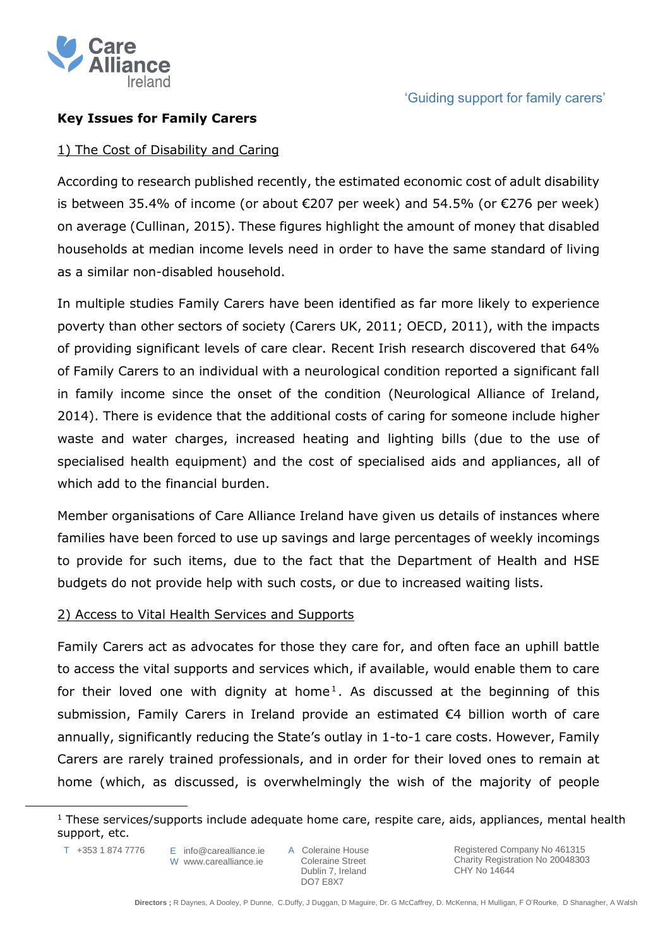

# **Key Issues for Family Carers**

### 1) The Cost of Disability and Caring

According to research published recently, the estimated economic cost of adult disability is between 35.4% of income (or about €207 per week) and 54.5% (or €276 per week) on average (Cullinan, 2015). These figures highlight the amount of money that disabled households at median income levels need in order to have the same standard of living as a similar non-disabled household.

In multiple studies Family Carers have been identified as far more likely to experience poverty than other sectors of society (Carers UK, 2011; OECD, 2011), with the impacts of providing significant levels of care clear. Recent Irish research discovered that 64% of Family Carers to an individual with a neurological condition reported a significant fall in family income since the onset of the condition (Neurological Alliance of Ireland, 2014). There is evidence that the additional costs of caring for someone include higher waste and water charges, increased heating and lighting bills (due to the use of specialised health equipment) and the cost of specialised aids and appliances, all of which add to the financial burden.

Member organisations of Care Alliance Ireland have given us details of instances where families have been forced to use up savings and large percentages of weekly incomings to provide for such items, due to the fact that the Department of Health and HSE budgets do not provide help with such costs, or due to increased waiting lists.

## 2) Access to Vital Health Services and Supports

Family Carers act as advocates for those they care for, and often face an uphill battle to access the vital supports and services which, if available, would enable them to care for their loved one with dignity at home<sup>1</sup>. As discussed at the beginning of this submission, Family Carers in Ireland provide an estimated €4 billion worth of care annually, significantly reducing the State's outlay in 1-to-1 care costs. However, Family Carers are rarely trained professionals, and in order for their loved ones to remain at home (which, as discussed, is overwhelmingly the wish of the majority of people

T +353 1 874 7776

 $\overline{a}$ 

E info@carealliance.ie W www.carealliance.ie A Coleraine House Coleraine Street Dublin 7, Ireland DO7 E8X7

 $1$  These services/supports include adequate home care, respite care, aids, appliances, mental health support, etc.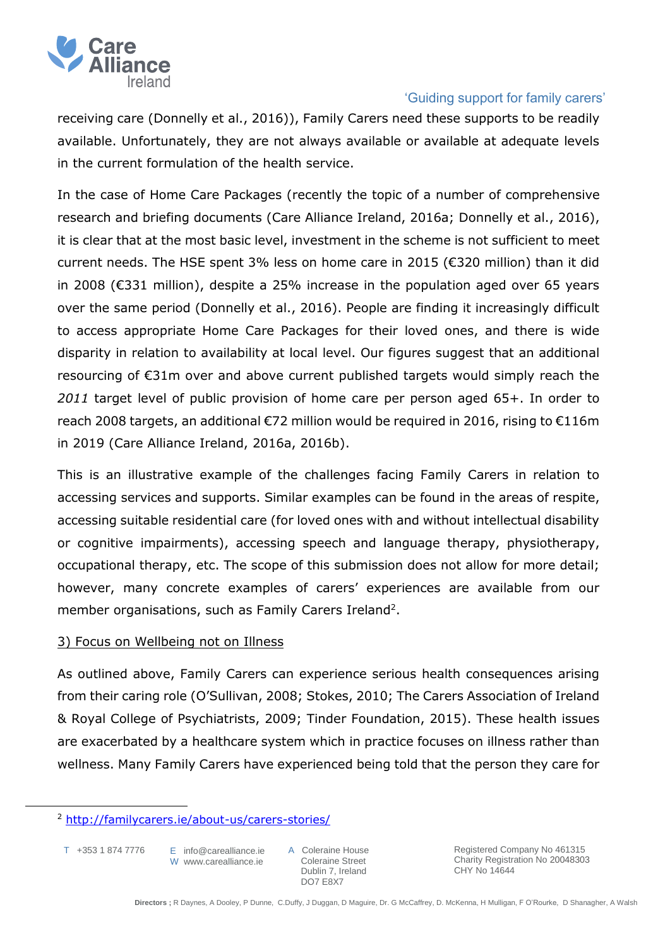

receiving care (Donnelly et al., 2016)), Family Carers need these supports to be readily available. Unfortunately, they are not always available or available at adequate levels in the current formulation of the health service.

In the case of Home Care Packages (recently the topic of a number of comprehensive research and briefing documents (Care Alliance Ireland, 2016a; Donnelly et al., 2016), it is clear that at the most basic level, investment in the scheme is not sufficient to meet current needs. The HSE spent 3% less on home care in 2015 (€320 million) than it did in 2008 (€331 million), despite a 25% increase in the population aged over 65 years over the same period (Donnelly et al., 2016). People are finding it increasingly difficult to access appropriate Home Care Packages for their loved ones, and there is wide disparity in relation to availability at local level. Our figures suggest that an additional resourcing of €31m over and above current published targets would simply reach the *2011* target level of public provision of home care per person aged 65+. In order to reach 2008 targets, an additional €72 million would be required in 2016, rising to €116m in 2019 (Care Alliance Ireland, 2016a, 2016b).

This is an illustrative example of the challenges facing Family Carers in relation to accessing services and supports. Similar examples can be found in the areas of respite, accessing suitable residential care (for loved ones with and without intellectual disability or cognitive impairments), accessing speech and language therapy, physiotherapy, occupational therapy, etc. The scope of this submission does not allow for more detail; however, many concrete examples of carers' experiences are available from our member organisations, such as Family Carers Ireland<sup>2</sup>.

### 3) Focus on Wellbeing not on Illness

As outlined above, Family Carers can experience serious health consequences arising from their caring role (O'Sullivan, 2008; Stokes, 2010; The Carers Association of Ireland & Royal College of Psychiatrists, 2009; Tinder Foundation, 2015). These health issues are exacerbated by a healthcare system which in practice focuses on illness rather than wellness. Many Family Carers have experienced being told that the person they care for

T +353 1 874 7776

 $\ddot{\phantom{a}}$ 

E info@carealliance.ie W www.carealliance.ie

A Coleraine House Coleraine Street Dublin 7, Ireland DO7 E8X7

<sup>2</sup> <http://familycarers.ie/about-us/carers-stories/>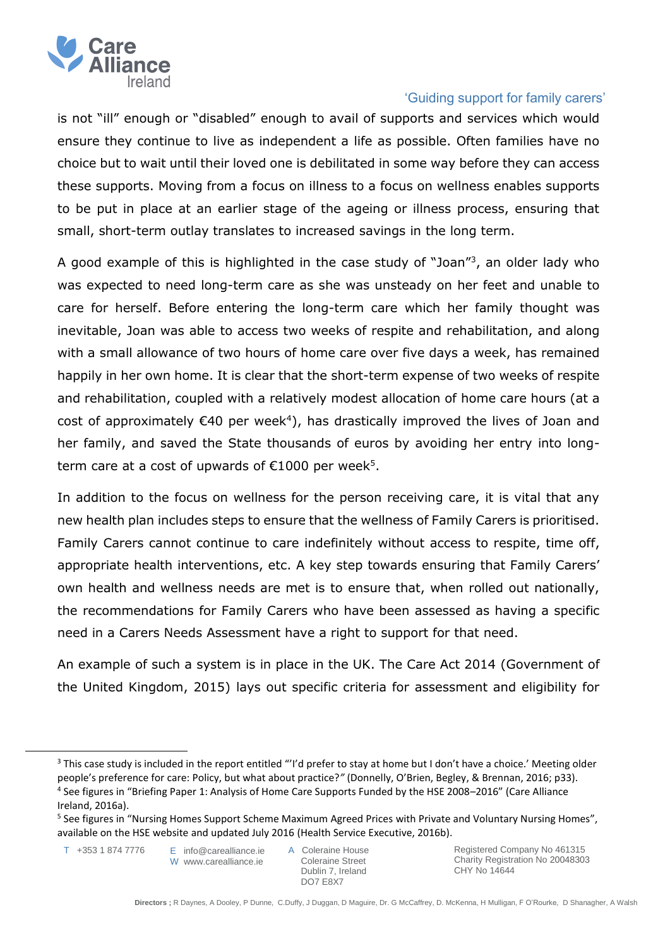

is not "ill" enough or "disabled" enough to avail of supports and services which would ensure they continue to live as independent a life as possible. Often families have no choice but to wait until their loved one is debilitated in some way before they can access these supports. Moving from a focus on illness to a focus on wellness enables supports to be put in place at an earlier stage of the ageing or illness process, ensuring that small, short-term outlay translates to increased savings in the long term.

A good example of this is highlighted in the case study of "Joan"<sup>3</sup>, an older lady who was expected to need long-term care as she was unsteady on her feet and unable to care for herself. Before entering the long-term care which her family thought was inevitable, Joan was able to access two weeks of respite and rehabilitation, and along with a small allowance of two hours of home care over five days a week, has remained happily in her own home. It is clear that the short-term expense of two weeks of respite and rehabilitation, coupled with a relatively modest allocation of home care hours (at a cost of approximately  $\epsilon$ 40 per week<sup>4</sup>), has drastically improved the lives of Joan and her family, and saved the State thousands of euros by avoiding her entry into longterm care at a cost of upwards of  $E$ 1000 per week<sup>5</sup>.

In addition to the focus on wellness for the person receiving care, it is vital that any new health plan includes steps to ensure that the wellness of Family Carers is prioritised. Family Carers cannot continue to care indefinitely without access to respite, time off, appropriate health interventions, etc. A key step towards ensuring that Family Carers' own health and wellness needs are met is to ensure that, when rolled out nationally, the recommendations for Family Carers who have been assessed as having a specific need in a Carers Needs Assessment have a right to support for that need.

An example of such a system is in place in the UK. The Care Act 2014 (Government of the United Kingdom, 2015) lays out specific criteria for assessment and eligibility for

T +353 1 874 7776

 $\ddot{\phantom{a}}$ 

E info@carealliance.ie W www.carealliance.ie

A Coleraine House Coleraine Street Dublin 7, Ireland DO7 E8X7

<sup>&</sup>lt;sup>3</sup> This case study is included in the report entitled "'I'd prefer to stay at home but I don't have a choice.' Meeting older people's preference for care: Policy, but what about practice?*"* (Donnelly, O'Brien, Begley, & Brennan, 2016; p33). 4 See figures in "Briefing Paper 1: Analysis of Home Care Supports Funded by the HSE 2008–2016" (Care Alliance Ireland, 2016a).

<sup>&</sup>lt;sup>5</sup> See figures in "Nursing Homes Support Scheme Maximum Agreed Prices with Private and Voluntary Nursing Homes", available on the HSE website and updated July 2016 (Health Service Executive, 2016b).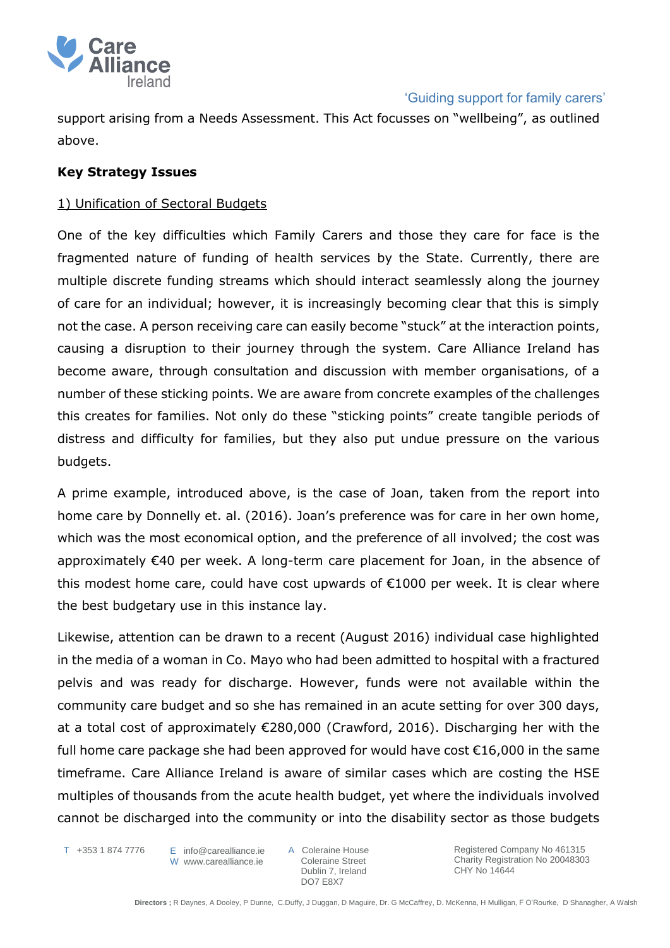

support arising from a Needs Assessment. This Act focusses on "wellbeing", as outlined above.

### **Key Strategy Issues**

### 1) Unification of Sectoral Budgets

One of the key difficulties which Family Carers and those they care for face is the fragmented nature of funding of health services by the State. Currently, there are multiple discrete funding streams which should interact seamlessly along the journey of care for an individual; however, it is increasingly becoming clear that this is simply not the case. A person receiving care can easily become "stuck" at the interaction points, causing a disruption to their journey through the system. Care Alliance Ireland has become aware, through consultation and discussion with member organisations, of a number of these sticking points. We are aware from concrete examples of the challenges this creates for families. Not only do these "sticking points" create tangible periods of distress and difficulty for families, but they also put undue pressure on the various budgets.

A prime example, introduced above, is the case of Joan, taken from the report into home care by Donnelly et. al. (2016). Joan's preference was for care in her own home, which was the most economical option, and the preference of all involved; the cost was approximately €40 per week. A long-term care placement for Joan, in the absence of this modest home care, could have cost upwards of €1000 per week. It is clear where the best budgetary use in this instance lay.

Likewise, attention can be drawn to a recent (August 2016) individual case highlighted in the media of a woman in Co. Mayo who had been admitted to hospital with a fractured pelvis and was ready for discharge. However, funds were not available within the community care budget and so she has remained in an acute setting for over 300 days, at a total cost of approximately €280,000 (Crawford, 2016). Discharging her with the full home care package she had been approved for would have cost €16,000 in the same timeframe. Care Alliance Ireland is aware of similar cases which are costing the HSE multiples of thousands from the acute health budget, yet where the individuals involved cannot be discharged into the community or into the disability sector as those budgets

T +353 1 874 7776

E info@carealliance.ie W www.carealliance.ie

A Coleraine House Coleraine Street Dublin 7, Ireland DO7 E8X7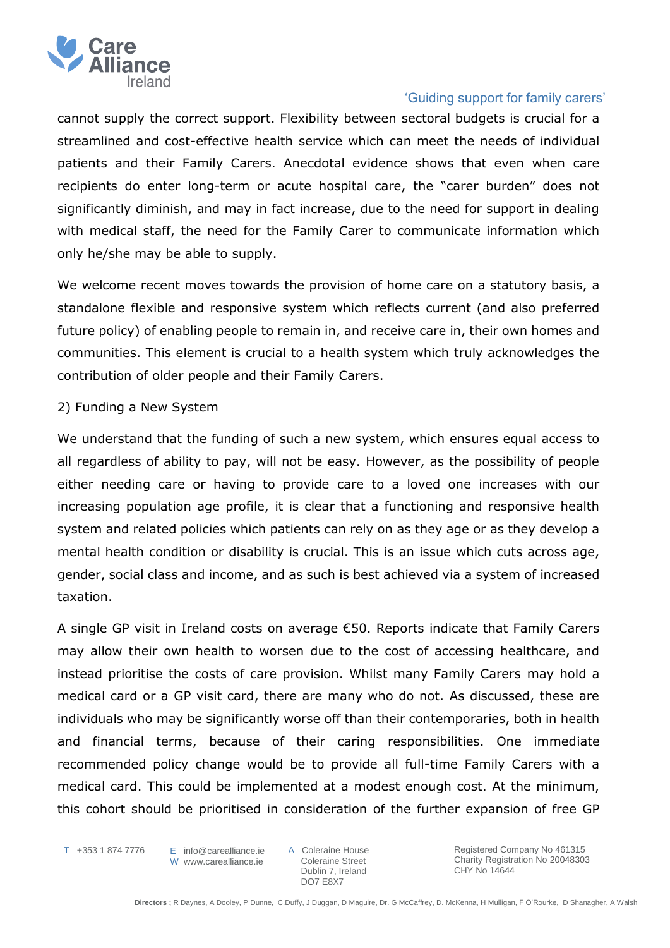

cannot supply the correct support. Flexibility between sectoral budgets is crucial for a streamlined and cost-effective health service which can meet the needs of individual patients and their Family Carers. Anecdotal evidence shows that even when care recipients do enter long-term or acute hospital care, the "carer burden" does not significantly diminish, and may in fact increase, due to the need for support in dealing with medical staff, the need for the Family Carer to communicate information which only he/she may be able to supply.

We welcome recent moves towards the provision of home care on a statutory basis, a standalone flexible and responsive system which reflects current (and also preferred future policy) of enabling people to remain in, and receive care in, their own homes and communities. This element is crucial to a health system which truly acknowledges the contribution of older people and their Family Carers.

#### 2) Funding a New System

We understand that the funding of such a new system, which ensures equal access to all regardless of ability to pay, will not be easy. However, as the possibility of people either needing care or having to provide care to a loved one increases with our increasing population age profile, it is clear that a functioning and responsive health system and related policies which patients can rely on as they age or as they develop a mental health condition or disability is crucial. This is an issue which cuts across age, gender, social class and income, and as such is best achieved via a system of increased taxation.

A single GP visit in Ireland costs on average €50. Reports indicate that Family Carers may allow their own health to worsen due to the cost of accessing healthcare, and instead prioritise the costs of care provision. Whilst many Family Carers may hold a medical card or a GP visit card, there are many who do not. As discussed, these are individuals who may be significantly worse off than their contemporaries, both in health and financial terms, because of their caring responsibilities. One immediate recommended policy change would be to provide all full-time Family Carers with a medical card. This could be implemented at a modest enough cost. At the minimum, this cohort should be prioritised in consideration of the further expansion of free GP

T +353 1 874 7776

E info@carealliance.ie W www.carealliance.ie A Coleraine House Coleraine Street Dublin 7, Ireland DO7 E8X7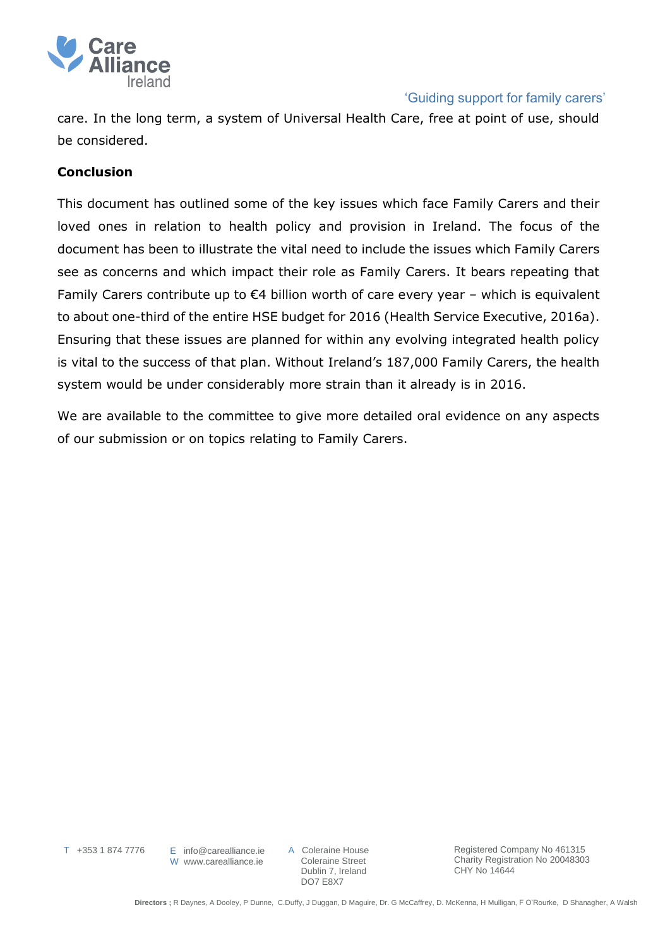

care. In the long term, a system of Universal Health Care, free at point of use, should be considered.

### **Conclusion**

This document has outlined some of the key issues which face Family Carers and their loved ones in relation to health policy and provision in Ireland. The focus of the document has been to illustrate the vital need to include the issues which Family Carers see as concerns and which impact their role as Family Carers. It bears repeating that Family Carers contribute up to  $\epsilon$ 4 billion worth of care every year – which is equivalent to about one-third of the entire HSE budget for 2016 (Health Service Executive, 2016a). Ensuring that these issues are planned for within any evolving integrated health policy is vital to the success of that plan. Without Ireland's 187,000 Family Carers, the health system would be under considerably more strain than it already is in 2016.

We are available to the committee to give more detailed oral evidence on any aspects of our submission or on topics relating to Family Carers.

T +353 1 874 7776

E info@carealliance.ie W www.carealliance.ie

A Coleraine House Coleraine Street Dublin 7, Ireland DO7 E8X7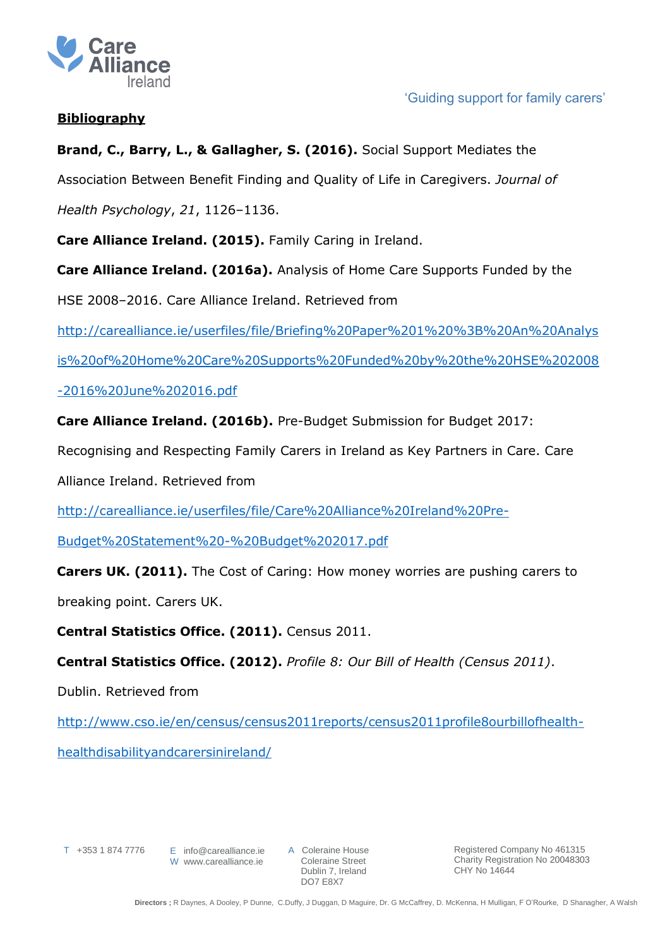

## **Bibliography**

# **Brand, C., Barry, L., & Gallagher, S. (2016).** Social Support Mediates the

Association Between Benefit Finding and Quality of Life in Caregivers. *Journal of* 

*Health Psychology*, *21*, 1126–1136.

**Care Alliance Ireland. (2015).** Family Caring in Ireland.

**Care Alliance Ireland. (2016a).** Analysis of Home Care Supports Funded by the

HSE 2008–2016. Care Alliance Ireland. Retrieved from

[http://carealliance.ie/userfiles/file/Briefing%20Paper%201%20%3B%20An%20Analys](http://carealliance.ie/userfiles/file/Briefing%20Paper%201%20%3B%20An%20Analysis%20of%20Home%20Care%20Supports%20Funded%20by%20the%20HSE%202008-2016%20June%202016.pdf)

[is%20of%20Home%20Care%20Supports%20Funded%20by%20the%20HSE%202008](http://carealliance.ie/userfiles/file/Briefing%20Paper%201%20%3B%20An%20Analysis%20of%20Home%20Care%20Supports%20Funded%20by%20the%20HSE%202008-2016%20June%202016.pdf)

[-2016%20June%202016.pdf](http://carealliance.ie/userfiles/file/Briefing%20Paper%201%20%3B%20An%20Analysis%20of%20Home%20Care%20Supports%20Funded%20by%20the%20HSE%202008-2016%20June%202016.pdf)

**Care Alliance Ireland. (2016b).** Pre-Budget Submission for Budget 2017:

Recognising and Respecting Family Carers in Ireland as Key Partners in Care. Care

Alliance Ireland. Retrieved from

[http://carealliance.ie/userfiles/file/Care%20Alliance%20Ireland%20Pre-](http://carealliance.ie/userfiles/file/Care%20Alliance%20Ireland%20Pre-Budget%20Statement%20-%20Budget%202017.pdf)

[Budget%20Statement%20-%20Budget%202017.pdf](http://carealliance.ie/userfiles/file/Care%20Alliance%20Ireland%20Pre-Budget%20Statement%20-%20Budget%202017.pdf)

**Carers UK. (2011).** The Cost of Caring: How money worries are pushing carers to

breaking point. Carers UK.

**Central Statistics Office. (2011).** Census 2011.

**Central Statistics Office. (2012).** *Profile 8: Our Bill of Health (Census 2011)*.

Dublin. Retrieved from

[http://www.cso.ie/en/census/census2011reports/census2011profile8ourbillofhealth](http://www.cso.ie/en/census/census2011reports/census2011profile8ourbillofhealth-healthdisabilityandcarersinireland/)[healthdisabilityandcarersinireland/](http://www.cso.ie/en/census/census2011reports/census2011profile8ourbillofhealth-healthdisabilityandcarersinireland/)

T +353 1 874 7776

E info@carealliance.ie W www.carealliance.ie

A Coleraine House Coleraine Street Dublin 7, Ireland DO7 E8X7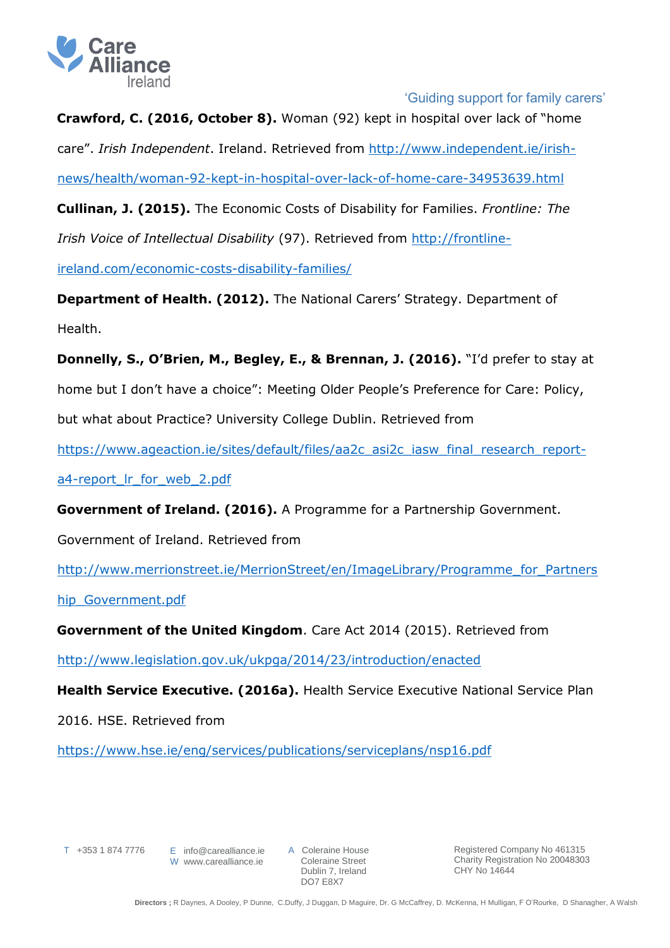

**Crawford, C. (2016, October 8).** Woman (92) kept in hospital over lack of "home care". *Irish Independent*. Ireland. Retrieved from [http://www.independent.ie/irish](http://www.independent.ie/irish-news/health/woman-92-kept-in-hospital-over-lack-of-home-care-34953639.html)[news/health/woman-92-kept-in-hospital-over-lack-of-home-care-34953639.html](http://www.independent.ie/irish-news/health/woman-92-kept-in-hospital-over-lack-of-home-care-34953639.html) **Cullinan, J. (2015).** The Economic Costs of Disability for Families. *Frontline: The* 

*Irish Voice of Intellectual Disability* (97). Retrieved from [http://frontline-](http://frontline-ireland.com/economic-costs-disability-families/)

[ireland.com/economic-costs-disability-families/](http://frontline-ireland.com/economic-costs-disability-families/)

**Department of Health. (2012).** The National Carers' Strategy. Department of Health.

**Donnelly, S., O'Brien, M., Begley, E., & Brennan, J. (2016).** "I'd prefer to stay at home but I don't have a choice": Meeting Older People's Preference for Care: Policy, but what about Practice? University College Dublin. Retrieved from

[https://www.ageaction.ie/sites/default/files/aa2c\\_asi2c\\_iasw\\_final\\_research\\_report-](https://www.ageaction.ie/sites/default/files/aa2c_asi2c_iasw_final_research_report-a4-report_lr_for_web_2.pdf)

[a4-report\\_lr\\_for\\_web\\_2.pdf](https://www.ageaction.ie/sites/default/files/aa2c_asi2c_iasw_final_research_report-a4-report_lr_for_web_2.pdf)

**Government of Ireland. (2016).** A Programme for a Partnership Government.

Government of Ireland. Retrieved from

[http://www.merrionstreet.ie/MerrionStreet/en/ImageLibrary/Programme\\_for\\_Partners](http://www.merrionstreet.ie/MerrionStreet/en/ImageLibrary/Programme_for_Partnership_Government.pdf)

[hip\\_Government.pdf](http://www.merrionstreet.ie/MerrionStreet/en/ImageLibrary/Programme_for_Partnership_Government.pdf)

**Government of the United Kingdom**. Care Act 2014 (2015). Retrieved from

<http://www.legislation.gov.uk/ukpga/2014/23/introduction/enacted>

**Health Service Executive. (2016a).** Health Service Executive National Service Plan

2016. HSE. Retrieved from

<https://www.hse.ie/eng/services/publications/serviceplans/nsp16.pdf>

T +353 1 874 7776

E info@carealliance.ie W www.carealliance.ie

A Coleraine House Coleraine Street Dublin 7, Ireland DO7 E8X7